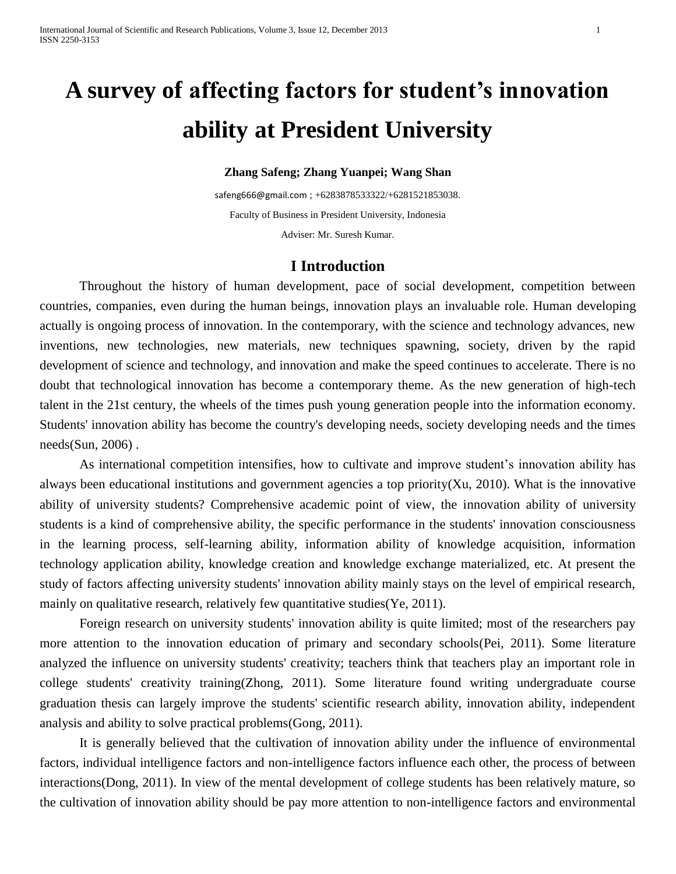# **A survey of affecting factors for student's innovation ability at President University**

#### **Zhang Safeng; Zhang Yuanpei; Wang Shan**

[safeng666@gmail.com](mailto:safeng666@gmail.com) ; +6283878533322/+6281521853038. Faculty of Business in President University, Indonesia Adviser: Mr. Suresh Kumar.

#### **I Introduction**

Throughout the history of human development, pace of social development, competition between countries, companies, even during the human beings, innovation plays an invaluable role. Human developing actually is ongoing process of innovation. In the contemporary, with the science and technology advances, new inventions, new technologies, new materials, new techniques spawning, society, driven by the rapid development of science and technology, and innovation and make the speed continues to accelerate. There is no doubt that technological innovation has become a contemporary theme. As the new generation of high-tech talent in the 21st century, the wheels of the times push young generation people into the information economy. Students' innovation ability has become the country's developing needs, society developing needs and the times  $needs(Sun, 2006)$ .

As international competition intensifies, how to cultivate and improve student's innovation ability has always been educational institutions and government agencies a top priority(Xu, 2010). What is the innovative ability of university students? Comprehensive academic point of view, the innovation ability of university students is a kind of comprehensive ability, the specific performance in the students' innovation consciousness in the learning process, self-learning ability, information ability of knowledge acquisition, information technology application ability, knowledge creation and knowledge exchange materialized, etc. At present the study of factors affecting university students' innovation ability mainly stays on the level of empirical research, mainly on qualitative research, relatively few quantitative studies(Ye, 2011).

Foreign research on university students' innovation ability is quite limited; most of the researchers pay more attention to the innovation education of primary and secondary schools(Pei, 2011). Some literature analyzed the influence on university students' creativity; teachers think that teachers play an important role in college students' creativity training(Zhong, 2011). Some literature found writing undergraduate course graduation thesis can largely improve the students' scientific research ability, innovation ability, independent analysis and ability to solve practical problems(Gong, 2011).

It is generally believed that the cultivation of innovation ability under the influence of environmental factors, individual intelligence factors and non-intelligence factors influence each other, the process of between interactions(Dong, 2011). In view of the mental development of college students has been relatively mature, so the cultivation of innovation ability should be pay more attention to non-intelligence factors and environmental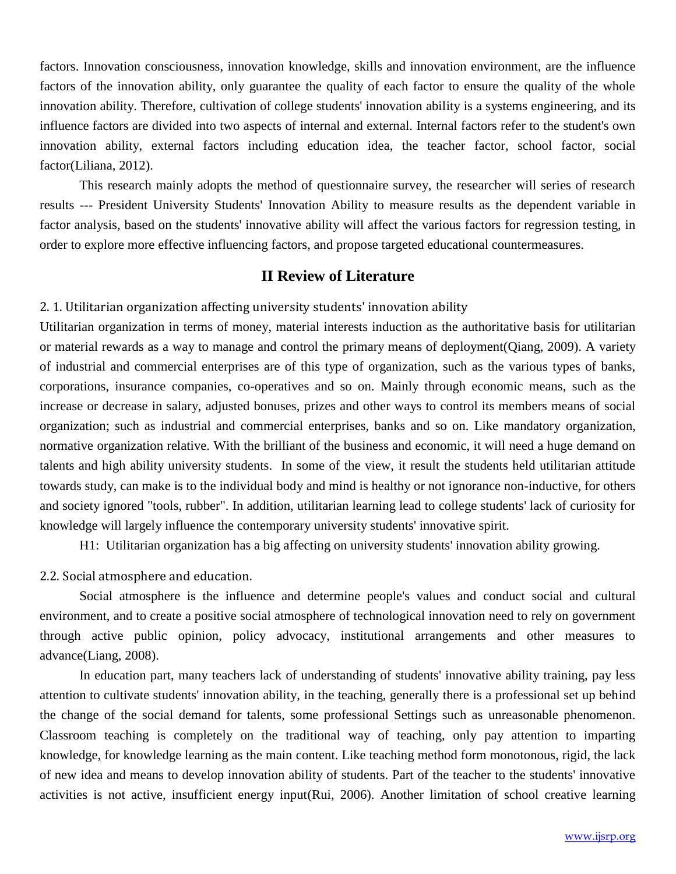factors. Innovation consciousness, innovation knowledge, skills and innovation environment, are the influence factors of the innovation ability, only guarantee the quality of each factor to ensure the quality of the whole innovation ability. Therefore, cultivation of college students' innovation ability is a systems engineering, and its influence factors are divided into two aspects of internal and external. Internal factors refer to the student's own innovation ability, external factors including education idea, the teacher factor, school factor, social factor(Liliana, 2012).

This research mainly adopts the method of questionnaire survey, the researcher will series of research results --- President University Students' Innovation Ability to measure results as the dependent variable in factor analysis, based on the students' innovative ability will affect the various factors for regression testing, in order to explore more effective influencing factors, and propose targeted educational countermeasures.

# **II Review of Literature**

2. 1. Utilitarian organization affecting university students' innovation ability

Utilitarian organization in terms of money, material interests induction as the authoritative basis for utilitarian or material rewards as a way to manage and control the primary means of deployment(Qiang, 2009). A variety of industrial and commercial enterprises are of this type of organization, such as the various types of banks, corporations, insurance companies, co-operatives and so on. Mainly through economic means, such as the increase or decrease in salary, adjusted bonuses, prizes and other ways to control its members means of social organization; such as industrial and commercial enterprises, banks and so on. Like mandatory organization, normative organization relative. With the brilliant of the business and economic, it will need a huge demand on talents and high ability university students. In some of the view, it result the students held utilitarian attitude towards study, can make is to the individual body and mind is healthy or not ignorance non-inductive, for others and society ignored "tools, rubber". In addition, utilitarian learning lead to college students' lack of curiosity for knowledge will largely influence the contemporary university students' innovative spirit.

H1: Utilitarian organization has a big affecting on university students' innovation ability growing.

2.2. Social atmosphere and education.

Social atmosphere is the influence and determine people's values and conduct social and cultural environment, and to create a positive social atmosphere of technological innovation need to rely on government through active public opinion, policy advocacy, institutional arrangements and other measures to advance(Liang, 2008).

In education part, many teachers lack of understanding of students' innovative ability training, pay less attention to cultivate students' innovation ability, in the teaching, generally there is a professional set up behind the change of the social demand for talents, some professional Settings such as unreasonable phenomenon. Classroom teaching is completely on the traditional way of teaching, only pay attention to imparting knowledge, for knowledge learning as the main content. Like teaching method form monotonous, rigid, the lack of new idea and means to develop innovation ability of students. Part of the teacher to the students' innovative activities is not active, insufficient energy input(Rui, 2006). Another limitation of school creative learning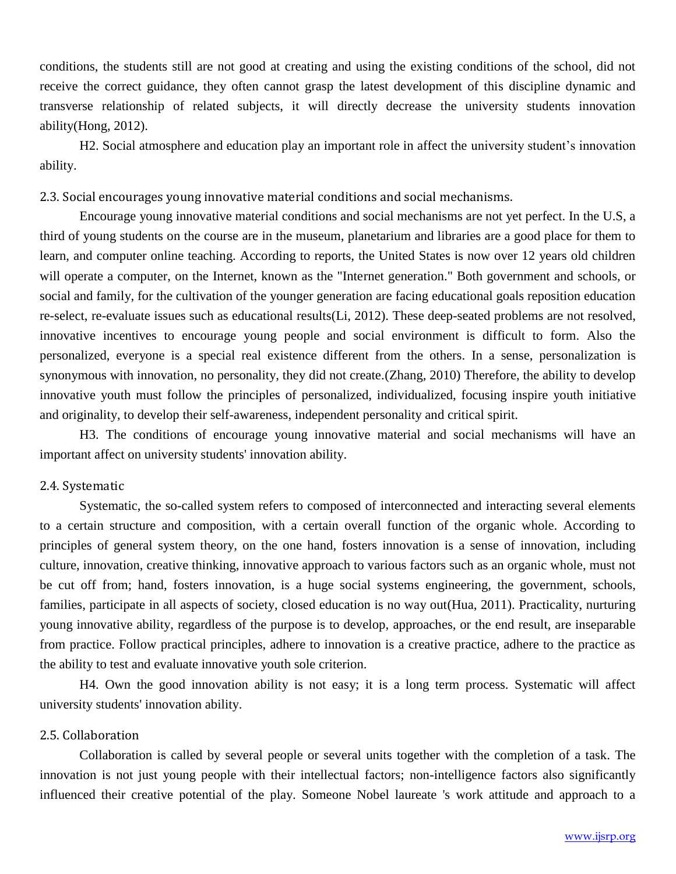conditions, the students still are not good at creating and using the existing conditions of the school, did not receive the correct guidance, they often cannot grasp the latest development of this discipline dynamic and transverse relationship of related subjects, it will directly decrease the university students innovation ability(Hong, 2012).

H2. Social atmosphere and education play an important role in affect the university student's innovation ability.

2.3. Social encourages young innovative material conditions and social mechanisms.

Encourage young innovative material conditions and social mechanisms are not yet perfect. In the U.S, a third of young students on the course are in the museum, planetarium and libraries are a good place for them to learn, and computer online teaching. According to reports, the United States is now over 12 years old children will operate a computer, on the Internet, known as the "Internet generation." Both government and schools, or social and family, for the cultivation of the younger generation are facing educational goals reposition education re-select, re-evaluate issues such as educational results(Li, 2012). These deep-seated problems are not resolved, innovative incentives to encourage young people and social environment is difficult to form. Also the personalized, everyone is a special real existence different from the others. In a sense, personalization is synonymous with innovation, no personality, they did not create.(Zhang, 2010) Therefore, the ability to develop innovative youth must follow the principles of personalized, individualized, focusing inspire youth initiative and originality, to develop their self-awareness, independent personality and critical spirit.

H3. The conditions of encourage young innovative material and social mechanisms will have an important affect on university students' innovation ability.

#### 2.4. Systematic

Systematic, the so-called system refers to composed of interconnected and interacting several elements to a certain structure and composition, with a certain overall function of the organic whole. According to principles of general system theory, on the one hand, fosters innovation is a sense of innovation, including culture, innovation, creative thinking, innovative approach to various factors such as an organic whole, must not be cut off from; hand, fosters innovation, is a huge social systems engineering, the government, schools, families, participate in all aspects of society, closed education is no way out(Hua, 2011). Practicality, nurturing young innovative ability, regardless of the purpose is to develop, approaches, or the end result, are inseparable from practice. Follow practical principles, adhere to innovation is a creative practice, adhere to the practice as the ability to test and evaluate innovative youth sole criterion.

H4. Own the good innovation ability is not easy; it is a long term process. Systematic will affect university students' innovation ability.

## 2.5. Collaboration

Collaboration is called by several people or several units together with the completion of a task. The innovation is not just young people with their intellectual factors; non-intelligence factors also significantly influenced their creative potential of the play. Someone Nobel laureate 's work attitude and approach to a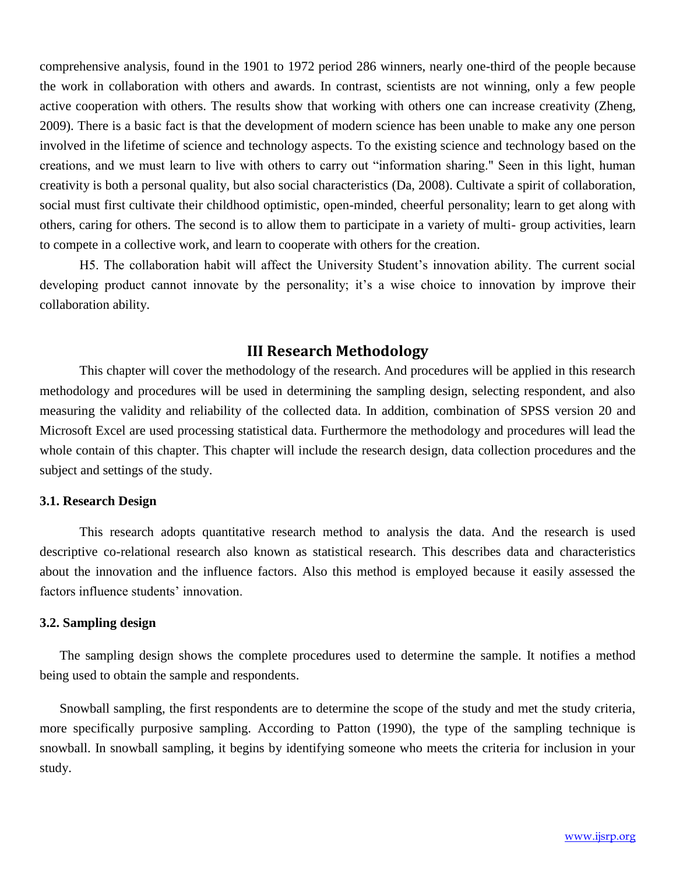comprehensive analysis, found in the 1901 to 1972 period 286 winners, nearly one-third of the people because the work in collaboration with others and awards. In contrast, scientists are not winning, only a few people active cooperation with others. The results show that working with others one can increase creativity (Zheng, 2009). There is a basic fact is that the development of modern science has been unable to make any one person involved in the lifetime of science and technology aspects. To the existing science and technology based on the creations, and we must learn to live with others to carry out "information sharing." Seen in this light, human creativity is both a personal quality, but also social characteristics (Da, 2008). Cultivate a spirit of collaboration, social must first cultivate their childhood optimistic, open-minded, cheerful personality; learn to get along with others, caring for others. The second is to allow them to participate in a variety of multi- group activities, learn to compete in a collective work, and learn to cooperate with others for the creation.

H5. The collaboration habit will affect the University Student's innovation ability. The current social developing product cannot innovate by the personality; it's a wise choice to innovation by improve their collaboration ability.

# **III Research Methodology**

This chapter will cover the methodology of the research. And procedures will be applied in this research methodology and procedures will be used in determining the sampling design, selecting respondent, and also measuring the validity and reliability of the collected data. In addition, combination of SPSS version 20 and Microsoft Excel are used processing statistical data. Furthermore the methodology and procedures will lead the whole contain of this chapter. This chapter will include the research design, data collection procedures and the subject and settings of the study.

#### **3.1. Research Design**

This research adopts quantitative research method to analysis the data. And the research is used descriptive co-relational research also known as statistical research. This describes data and characteristics about the innovation and the influence factors. Also this method is employed because it easily assessed the factors influence students' innovation.

#### **3.2. Sampling design**

The sampling design shows the complete procedures used to determine the sample. It notifies a method being used to obtain the sample and respondents.

Snowball sampling, the first respondents are to determine the scope of the study and met the study criteria, more specifically purposive sampling. According to Patton (1990), the type of the sampling technique is snowball. In snowball sampling, it begins by identifying someone who meets the criteria for inclusion in your study.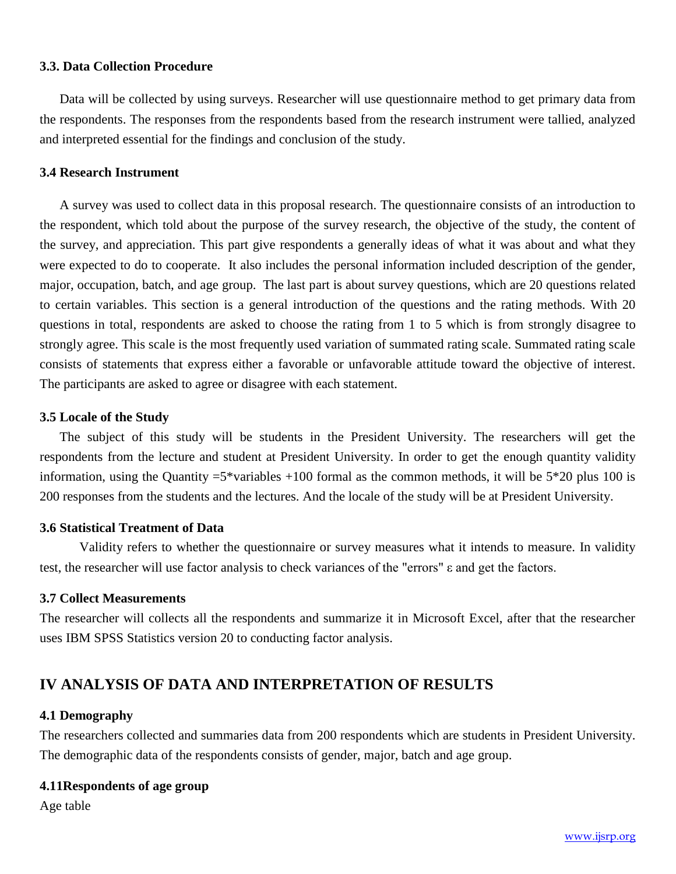#### **3.3. Data Collection Procedure**

Data will be collected by using surveys. Researcher will use questionnaire method to get primary data from the respondents. The responses from the respondents based from the research instrument were tallied, analyzed and interpreted essential for the findings and conclusion of the study.

#### **3.4 Research Instrument**

A survey was used to collect data in this proposal research. The questionnaire consists of an introduction to the respondent, which told about the purpose of the survey research, the objective of the study, the content of the survey, and appreciation. This part give respondents a generally ideas of what it was about and what they were expected to do to cooperate. It also includes the personal information included description of the gender, major, occupation, batch, and age group. The last part is about survey questions, which are 20 questions related to certain variables. This section is a general introduction of the questions and the rating methods. With 20 questions in total, respondents are asked to choose the rating from 1 to 5 which is from strongly disagree to strongly agree. This scale is the most frequently used variation of summated rating scale. Summated rating scale consists of statements that express either a favorable or unfavorable attitude toward the objective of interest. The participants are asked to agree or disagree with each statement.

#### **3.5 Locale of the Study**

The subject of this study will be students in the President University. The researchers will get the respondents from the lecture and student at President University. In order to get the enough quantity validity information, using the Quantity  $=5^*$ variables  $+100$  formal as the common methods, it will be  $5*20$  plus 100 is 200 responses from the students and the lectures. And the locale of the study will be at President University.

# **3.6 Statistical Treatment of Data**

Validity refers to whether the questionnaire or survey measures what it intends to measure. In validity test, the researcher will use factor analysis to check [variances](http://en.wikipedia.org/wiki/Variance) of the "errors" ε and get the factors.

# **3.7 Collect Measurements**

The researcher will collects all the respondents and summarize it in Microsoft Excel, after that the researcher uses IBM SPSS Statistics version 20 to conducting factor analysis.

# **IV ANALYSIS OF DATA AND INTERPRETATION OF RESULTS**

#### **4.1 Demography**

The researchers collected and summaries data from 200 respondents which are students in President University. The demographic data of the respondents consists of gender, major, batch and age group.

# **4.11Respondents of age group**

Age table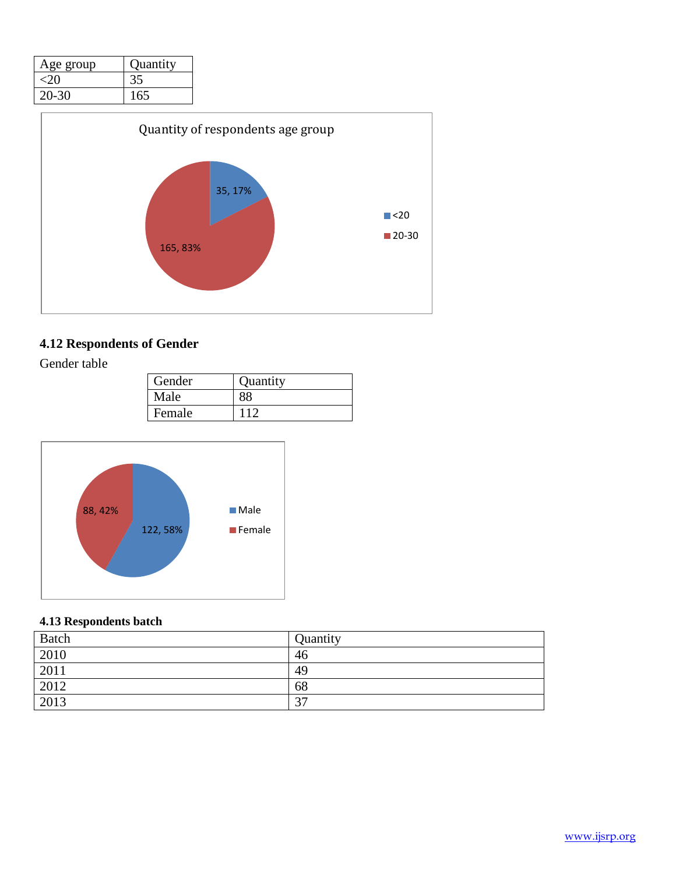| Age group | Quantity |
|-----------|----------|
|           |          |
| $20 - 30$ | 165      |



# **4.12 Respondents of Gender**

Gender table

| Gender | Quantity |
|--------|----------|
| Male   |          |
| Female |          |



# **4.13 Respondents batch**

| Batch | Quantity |
|-------|----------|
| 2010  | 46       |
| 2011  | 49       |
| 2012  | 68       |
| 2013  | 37       |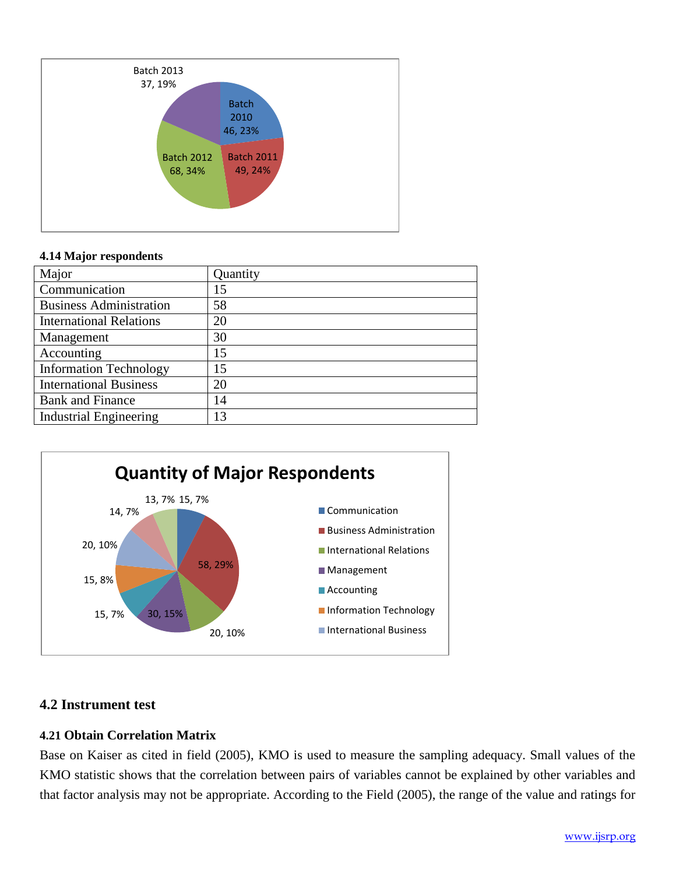

#### **4.14 Major respondents**

| Major                          | Quantity |
|--------------------------------|----------|
| Communication                  | 15       |
| <b>Business Administration</b> | 58       |
| <b>International Relations</b> | 20       |
| Management                     | 30       |
| Accounting                     | 15       |
| <b>Information Technology</b>  | 15       |
| <b>International Business</b>  | 20       |
| <b>Bank and Finance</b>        | 14       |
| <b>Industrial Engineering</b>  | 13       |



# **4.2 Instrument test**

# **4.21 Obtain Correlation Matrix**

Base on Kaiser as cited in field (2005), KMO is used to measure the sampling adequacy. Small values of the KMO statistic shows that the correlation between pairs of variables cannot be explained by other variables and that factor analysis may not be appropriate. According to the Field (2005), the range of the value and ratings for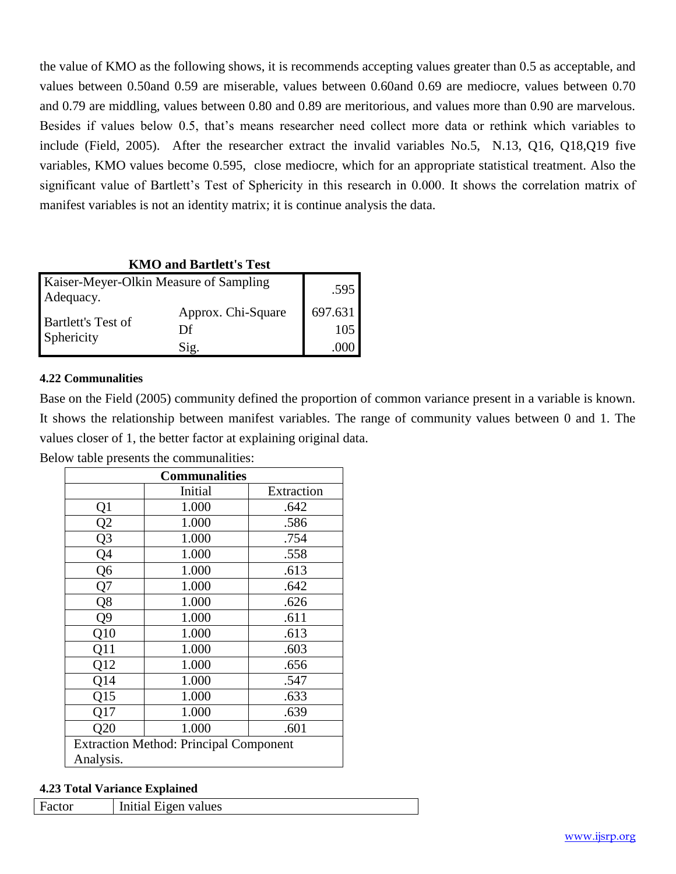the value of KMO as the following shows, it is recommends accepting values greater than 0.5 as acceptable, and values between 0.50and 0.59 are miserable, values between 0.60and 0.69 are mediocre, values between 0.70 and 0.79 are middling, values between 0.80 and 0.89 are meritorious, and values more than 0.90 are marvelous. Besides if values below 0.5, that's means researcher need collect more data or rethink which variables to include (Field, 2005). After the researcher extract the invalid variables No.5, N.13, Q16, Q18,Q19 five variables, KMO values become 0.595, close mediocre, which for an appropriate statistical treatment. Also the significant value of Bartlett's Test of Sphericity in this research in 0.000. It shows the correlation matrix of manifest variables is not an identity matrix; it is continue analysis the data.

# **KMO and Bartlett's Test**

| Kaiser-Meyer-Olkin Measure of Sampling<br>Adequacy. |                    | .595    |
|-----------------------------------------------------|--------------------|---------|
| <b>Bartlett's Test of</b><br>Sphericity             | Approx. Chi-Square | 697.631 |
|                                                     | Df                 | 105     |
|                                                     | Sig.               |         |

#### **4.22 Communalities**

Base on the Field (2005) community defined the proportion of common variance present in a variable is known. It shows the relationship between manifest variables. The range of community values between 0 and 1. The values closer of 1, the better factor at explaining original data.

Below table presents the communalities:

| <b>Communalities</b>                          |         |            |  |  |
|-----------------------------------------------|---------|------------|--|--|
|                                               | Initial | Extraction |  |  |
| Q1                                            | 1.000   | .642       |  |  |
| $\overline{Q2}$                               | 1.000   | .586       |  |  |
| $\overline{Q3}$                               | 1.000   | .754       |  |  |
| $\overline{Q4}$                               | 1.000   | .558       |  |  |
| Q <sub>6</sub>                                | 1.000   | .613       |  |  |
| Q7                                            | 1.000   | .642       |  |  |
| Q8                                            | 1.000   | .626       |  |  |
| Q9                                            | 1.000   | .611       |  |  |
| Q10                                           | 1.000   | .613       |  |  |
| Q11                                           | 1.000   | .603       |  |  |
| Q12                                           | 1.000   | .656       |  |  |
| <b>Q14</b>                                    | 1.000   | .547       |  |  |
| Q15                                           | 1.000   | .633       |  |  |
| Q17                                           | 1.000   | .639       |  |  |
| Q20                                           | 1.000   | .601       |  |  |
| <b>Extraction Method: Principal Component</b> |         |            |  |  |
| Analysis.                                     |         |            |  |  |

#### **4.23 Total Variance Explained**

| Factor | Initial Eigen values |
|--------|----------------------|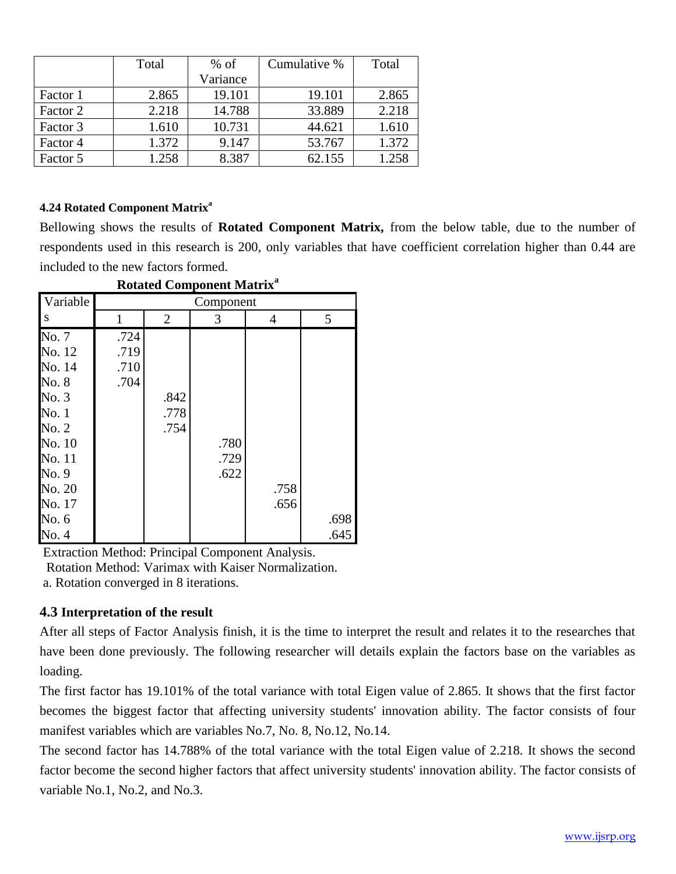|          | Total | $%$ of   | Cumulative % | Total |
|----------|-------|----------|--------------|-------|
|          |       | Variance |              |       |
| Factor 1 | 2.865 | 19.101   | 19.101       | 2.865 |
| Factor 2 | 2.218 | 14.788   | 33.889       | 2.218 |
| Factor 3 | 1.610 | 10.731   | 44.621       | 1.610 |
| Factor 4 | 1.372 | 9.147    | 53.767       | 1.372 |
| Factor 5 | 1.258 | 8.387    | 62.155       | 1.258 |

## **4.24 Rotated Component Matrix<sup>a</sup>**

Bellowing shows the results of **Rotated Component Matrix,** from the below table, due to the number of respondents used in this research is 200, only variables that have coefficient correlation higher than 0.44 are included to the new factors formed.

| Variable                                                               |                              |                      | Component    |              |              |
|------------------------------------------------------------------------|------------------------------|----------------------|--------------|--------------|--------------|
| S                                                                      | 1                            | $\overline{2}$       | 3            | 4            | 5            |
| No. 7<br>No. 12<br>No. 14<br>No. 8<br>No. 3<br>No.1<br>No. 2<br>No. 10 | .724<br>.719<br>.710<br>.704 | .842<br>.778<br>.754 | .780         |              |              |
| No. 11<br>No. 9<br>No. 20<br>No. 17<br>No. 6<br>No. 4                  |                              |                      | .729<br>.622 | .758<br>.656 | .698<br>.645 |

#### **Rotated Component Matrix<sup>a</sup>**

Extraction Method: Principal Component Analysis.

Rotation Method: Varimax with Kaiser Normalization.

a. Rotation converged in 8 iterations.

# **4.3 Interpretation of the result**

After all steps of Factor Analysis finish, it is the time to interpret the result and relates it to the researches that have been done previously. The following researcher will details explain the factors base on the variables as loading.

The first factor has 19.101% of the total variance with total Eigen value of 2.865. It shows that the first factor becomes the biggest factor that affecting university students' innovation ability. The factor consists of four manifest variables which are variables No.7, No. 8, No.12, No.14.

The second factor has 14.788% of the total variance with the total Eigen value of 2.218. It shows the second factor become the second higher factors that affect university students' innovation ability. The factor consists of variable No.1, No.2, and No.3.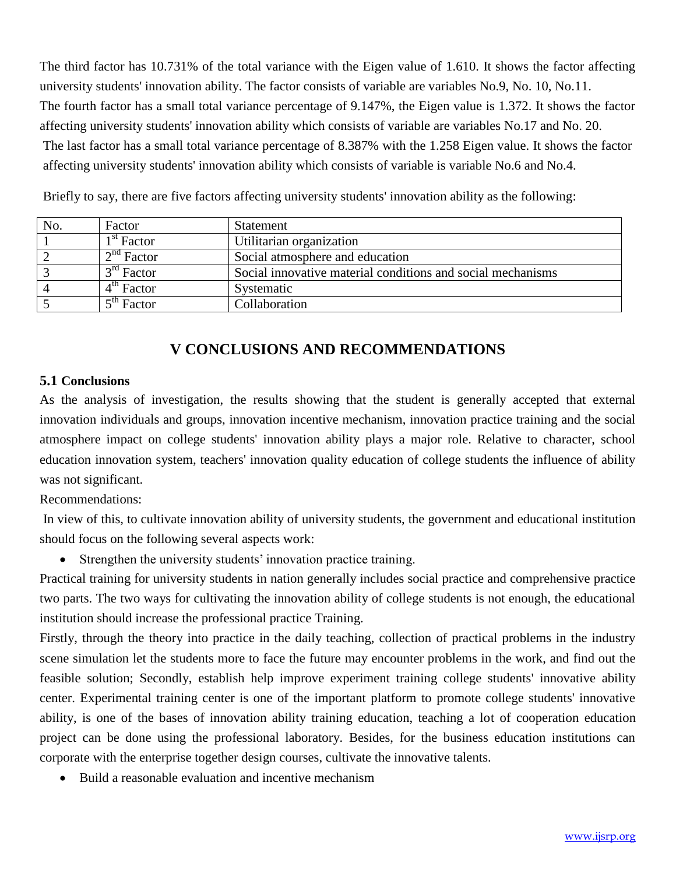The third factor has 10.731% of the total variance with the Eigen value of 1.610. It shows the factor affecting university students' innovation ability. The factor consists of variable are variables No.9, No. 10, No.11. The fourth factor has a small total variance percentage of 9.147%, the Eigen value is 1.372. It shows the factor affecting university students' innovation ability which consists of variable are variables No.17 and No. 20. The last factor has a small total variance percentage of 8.387% with the 1.258 Eigen value. It shows the factor affecting university students' innovation ability which consists of variable is variable No.6 and No.4.

| No. | Factor                 | <b>Statement</b>                                            |
|-----|------------------------|-------------------------------------------------------------|
|     | 1 <sup>st</sup> Factor | Utilitarian organization                                    |
|     | 2 <sup>nd</sup> Factor | Social atmosphere and education                             |
|     | $3rd$ Factor           | Social innovative material conditions and social mechanisms |
|     | 4 <sup>th</sup> Factor | Systematic                                                  |
|     | 5 <sup>th</sup> Factor | Collaboration                                               |

Briefly to say, there are five factors affecting university students' innovation ability as the following:

# **V CONCLUSIONS AND RECOMMENDATIONS**

# **5.1 Conclusions**

As the analysis of investigation, the results showing that the student is generally accepted that external innovation individuals and groups, innovation incentive mechanism, innovation practice training and the social atmosphere impact on college students' innovation ability plays a major role. Relative to character, school education innovation system, teachers' innovation quality education of college students the influence of ability was not significant.

Recommendations:

In view of this, to cultivate innovation ability of university students, the government and educational institution should focus on the following several aspects work:

• Strengthen the university students' innovation practice training.

Practical training for university students in nation generally includes social practice and comprehensive practice two parts. The two ways for cultivating the innovation ability of college students is not enough, the educational institution should increase the professional practice Training.

Firstly, through the theory into practice in the daily teaching, collection of practical problems in the industry scene simulation let the students more to face the future may encounter problems in the work, and find out the feasible solution; Secondly, establish help improve experiment training college students' innovative ability center. Experimental training center is one of the important platform to promote college students' innovative ability, is one of the bases of innovation ability training education, teaching a lot of cooperation education project can be done using the professional laboratory. Besides, for the business education institutions can corporate with the enterprise together design courses, cultivate the innovative talents.

• Build a reasonable evaluation and incentive mechanism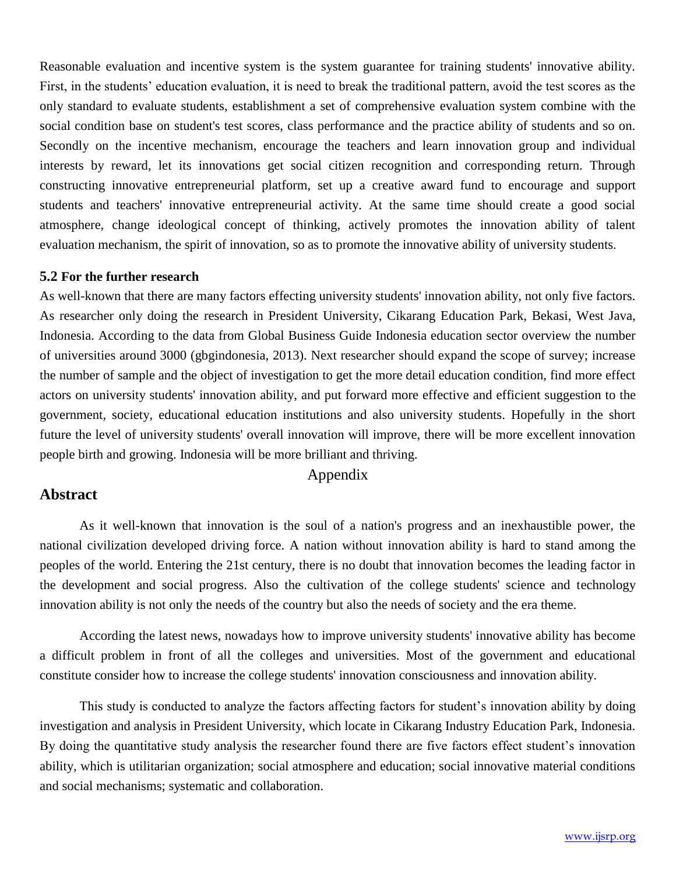Reasonable evaluation and incentive system is the system guarantee for training students' innovative ability. First, in the students' education evaluation, it is need to break the traditional pattern, avoid the test scores as the only standard to evaluate students, establishment a set of comprehensive evaluation system combine with the social condition base on student's test scores, class performance and the practice ability of students and so on. Secondly on the incentive mechanism, encourage the teachers and learn innovation group and individual interests by reward, let its innovations get social citizen recognition and corresponding return. Through constructing innovative entrepreneurial platform, set up a creative award fund to encourage and support students and teachers' innovative entrepreneurial activity. At the same time should create a good social atmosphere, change ideological concept of thinking, actively promotes the innovation ability of talent evaluation mechanism, the spirit of innovation, so as to promote the innovative ability of university students.

#### **5.2 For the further research**

As well-known that there are many factors effecting university students' innovation ability, not only five factors. As researcher only doing the research in President University, Cikarang Education Park, Bekasi, West Java, Indonesia. According to the data from Global Business Guide Indonesia education sector overview the number of universities around 3000 (gbgindonesia, 2013). Next researcher should expand the scope of survey; increase the number of sample and the object of investigation to get the more detail education condition, find more effect actors on university students' innovation ability, and put forward more effective and efficient suggestion to the government, society, educational education institutions and also university students. Hopefully in the short future the level of university students' overall innovation will improve, there will be more excellent innovation people birth and growing. Indonesia will be more brilliant and thriving.

# Appendix

# **Abstract**

As it well-known that innovation is the soul of a nation's progress and an inexhaustible power, the national civilization developed driving force. A nation without innovation ability is hard to stand among the peoples of the world. Entering the 21st century, there is no doubt that innovation becomes the leading factor in the development and social progress. Also the cultivation of the college students' science and technology innovation ability is not only the needs of the country but also the needs of society and the era theme.

According the latest news, nowadays how to improve university students' innovative ability has become a difficult problem in front of all the colleges and universities. Most of the government and educational constitute consider how to increase the college students' innovation consciousness and innovation ability.

This study is conducted to analyze the factors affecting factors for student's innovation ability by doing investigation and analysis in President University, which locate in Cikarang Industry Education Park, Indonesia. By doing the quantitative study analysis the researcher found there are five factors effect student's innovation ability, which is utilitarian organization; social atmosphere and education; social innovative material conditions and social mechanisms; systematic and collaboration.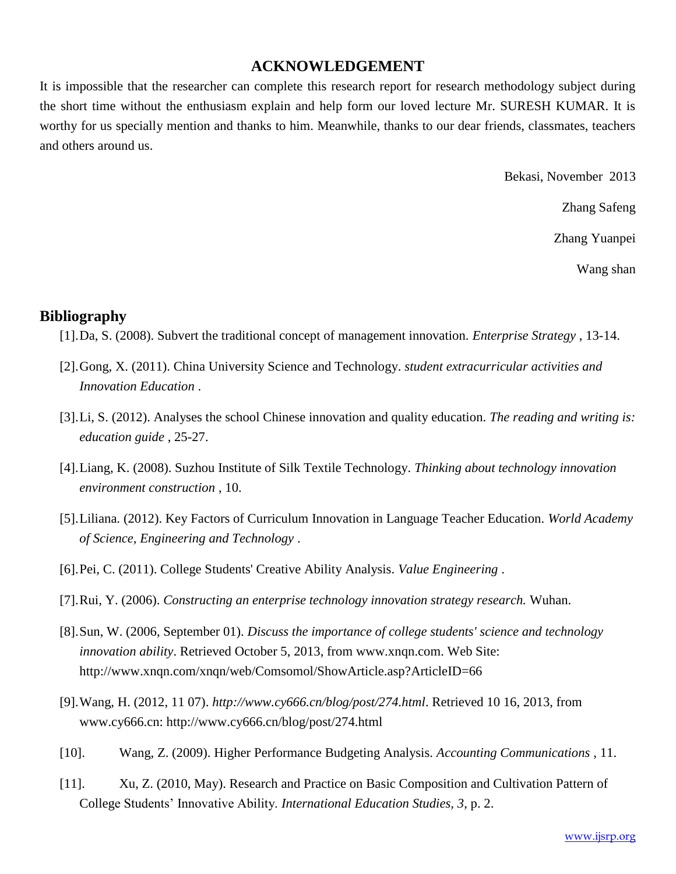# **ACKNOWLEDGEMENT**

It is impossible that the researcher can complete this research report for research methodology subject during the short time without the enthusiasm explain and help form our loved lecture Mr. SURESH KUMAR. It is worthy for us specially mention and thanks to him. Meanwhile, thanks to our dear friends, classmates, teachers and others around us.

Bekasi, November 2013

Zhang Safeng

Zhang Yuanpei

Wang shan

## **Bibliography**

- [1].Da, S. (2008). Subvert the traditional concept of management innovation. *Enterprise Strategy* , 13-14.
- [2].Gong, X. (2011). China University Science and Technology. *student extracurricular activities and Innovation Education* .
- [3].Li, S. (2012). Analyses the school Chinese innovation and quality education. *The reading and writing is: education guide* , 25-27.
- [4].Liang, K. (2008). Suzhou Institute of Silk Textile Technology. *Thinking about technology innovation environment construction* , 10.
- [5].Liliana. (2012). Key Factors of Curriculum Innovation in Language Teacher Education. *World Academy of Science, Engineering and Technology* .
- [6].Pei, C. (2011). College Students' Creative Ability Analysis. *Value Engineering* .
- [7].Rui, Y. (2006). *Constructing an enterprise technology innovation strategy research.* Wuhan.
- [8].Sun, W. (2006, September 01). *Discuss the importance of college students' science and technology innovation ability*. Retrieved October 5, 2013, from www.xnqn.com. Web Site: http://www.xnqn.com/xnqn/web/Comsomol/ShowArticle.asp?ArticleID=66
- [9].Wang, H. (2012, 11 07). *http://www.cy666.cn/blog/post/274.html*. Retrieved 10 16, 2013, from www.cy666.cn: http://www.cy666.cn/blog/post/274.html
- [10]. Wang, Z. (2009). Higher Performance Budgeting Analysis. *Accounting Communications* , 11.
- [11]. Xu, Z. (2010, May). Research and Practice on Basic Composition and Cultivation Pattern of College Students' Innovative Ability. *International Education Studies, 3*, p. 2.